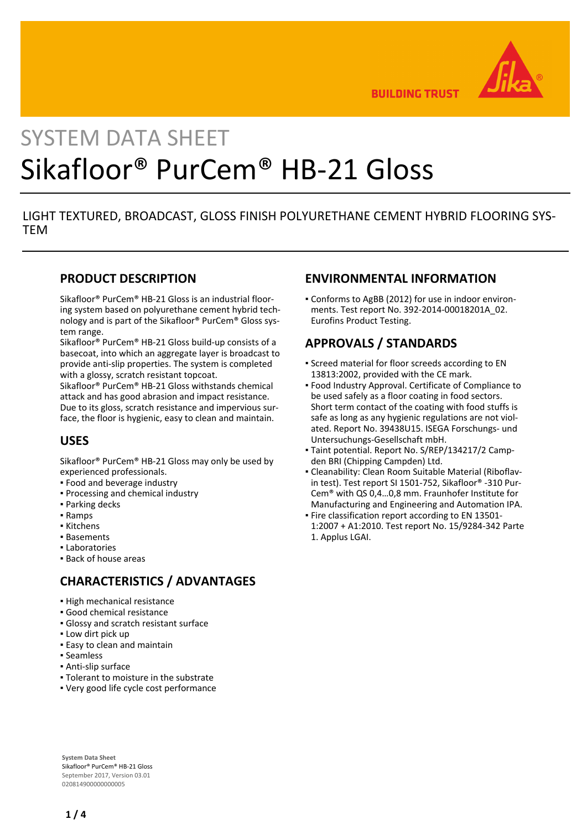

**BUILDING TRUST** 

# SYSTEM DATA SHEET Sikafloor® PurCem® HB-21 Gloss

# LIGHT TEXTURED, BROADCAST, GLOSS FINISH POLYURETHANE CEMENT HYBRID FLOORING SYS-**TFM**

### **PRODUCT DESCRIPTION**

Sikafloor® PurCem® HB-21 Gloss is an industrial flooring system based on polyurethane cement hybrid technology and is part of the Sikafloor® PurCem® Gloss system range.

Sikafloor® PurCem® HB-21 Gloss build-up consists of a basecoat, into which an aggregate layer is broadcast to provide anti-slip properties. The system is completed with a glossy, scratch resistant topcoat.

Sikafloor® PurCem® HB-21 Gloss withstands chemical attack and has good abrasion and impact resistance. Due to its gloss, scratch resistance and impervious surface, the floor is hygienic, easy to clean and maintain.

# **USES**

Sikafloor® PurCem® HB-21 Gloss may only be used by experienced professionals.

- Food and beverage industry
- Processing and chemical industry
- Parking decks
- Ramps
- Kitchens
- Basements
- Laboratories
- Back of house areas

# **CHARACTERISTICS / ADVANTAGES**

- High mechanical resistance
- Good chemical resistance
- Glossy and scratch resistant surface
- **.** Low dirt pick up
- **Easy to clean and maintain**
- Seamless
- Anti-slip surface
- Tolerant to moisture in the substrate
- Very good life cycle cost performance

# **ENVIRONMENTAL INFORMATION**

Conforms to AgBB (2012) for use in indoor environ-▪ ments. Test report No. 392-2014-00018201A\_02. Eurofins Product Testing.

# **APPROVALS / STANDARDS**

- **Screed material for floor screeds according to EN** 13813:2002, provided with the CE mark.
- Food Industry Approval. Certificate of Compliance to be used safely as a floor coating in food sectors. Short term contact of the coating with food stuffs is safe as long as any hygienic regulations are not violated. Report No. 39438U15. ISEGA Forschungs- und Untersuchungs-Gesellschaft mbH.
- Taint potential. Report No. S/REP/134217/2 Camp-▪ den BRI (Chipping Campden) Ltd.
- Cleanability: Clean Room Suitable Material (Riboflav-▪ in test). Test report SI 1501-752, Sikafloor® -310 Pur-Cem® with QS 0,4…0,8 mm. Fraunhofer Institute for Manufacturing and Engineering and Automation IPA.
- **Fire classification report according to EN 13501-**1:2007 + A1:2010. Test report No. 15/9284-342 Parte 1. Applus LGAI.

**System Data Sheet** Sikafloor® PurCem® HB-21 Gloss September 2017, Version 03.01 020814900000000005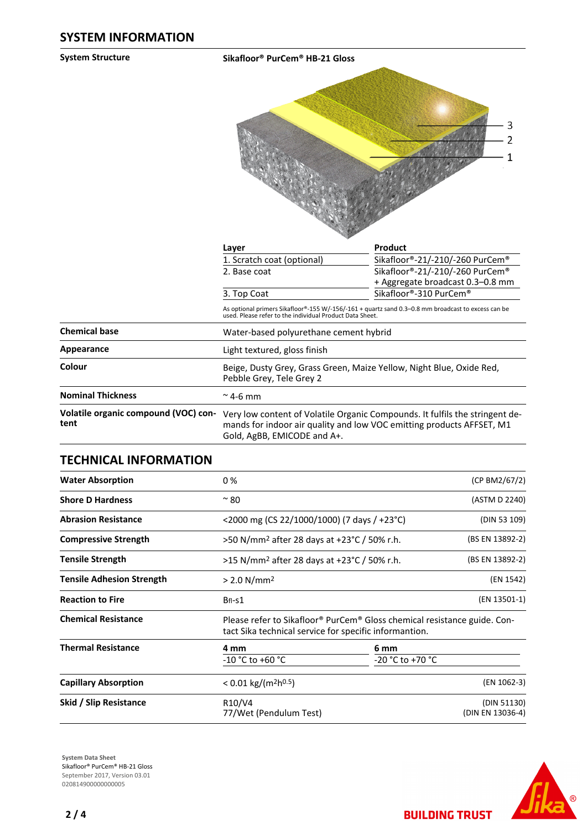**System Structure Sikafloor® PurCem® HB-21 Gloss**



|                                              | Layer                                                                                                                                                                                | Product                                                             |  |  |
|----------------------------------------------|--------------------------------------------------------------------------------------------------------------------------------------------------------------------------------------|---------------------------------------------------------------------|--|--|
|                                              | 1. Scratch coat (optional)                                                                                                                                                           | Sikafloor®-21/-210/-260 PurCem®                                     |  |  |
|                                              | 2. Base coat                                                                                                                                                                         | Sikafloor®-21/-210/-260 PurCem®<br>+ Aggregate broadcast 0.3–0.8 mm |  |  |
|                                              | 3. Top Coat                                                                                                                                                                          | Sikafloor®-310 PurCem®                                              |  |  |
|                                              | As optional primers Sikafloor®-155 W/-156/-161 + quartz sand 0.3–0.8 mm broadcast to excess can be<br>used. Please refer to the individual Product Data Sheet.                       |                                                                     |  |  |
| <b>Chemical base</b>                         | Water-based polyurethane cement hybrid                                                                                                                                               |                                                                     |  |  |
| Appearance                                   | Light textured, gloss finish                                                                                                                                                         |                                                                     |  |  |
| Colour                                       | Beige, Dusty Grey, Grass Green, Maize Yellow, Night Blue, Oxide Red,<br>Pebble Grey, Tele Grey 2                                                                                     |                                                                     |  |  |
| <b>Nominal Thickness</b>                     | $\approx$ 4-6 mm                                                                                                                                                                     |                                                                     |  |  |
| Volatile organic compound (VOC) con-<br>tent | Very low content of Volatile Organic Compounds. It fulfils the stringent de-<br>mands for indoor air quality and low VOC emitting products AFFSET, M1<br>Gold, AgBB, EMICODE and A+. |                                                                     |  |  |

#### **TECHNICAL INFORMATION**

| <b>Water Absorption</b>          | 0 %                                            |                                                                                                                                    |                                 |
|----------------------------------|------------------------------------------------|------------------------------------------------------------------------------------------------------------------------------------|---------------------------------|
| <b>Shore D Hardness</b>          | $~\sim$ 80                                     |                                                                                                                                    |                                 |
| <b>Abrasion Resistance</b>       |                                                | <2000 mg (CS 22/1000/1000) (7 days / +23 °C)                                                                                       |                                 |
| <b>Compressive Strength</b>      |                                                | >50 N/mm <sup>2</sup> after 28 days at +23°C / 50% r.h.                                                                            |                                 |
| <b>Tensile Strength</b>          |                                                | (BS EN 13892-2)<br>>15 N/mm <sup>2</sup> after 28 days at +23 °C / 50% r.h.                                                        |                                 |
| <b>Tensile Adhesion Strength</b> | $> 2.0$ N/mm <sup>2</sup>                      |                                                                                                                                    |                                 |
| <b>Reaction to Fire</b>          | $BfI-S1$                                       |                                                                                                                                    | (EN 13501-1)                    |
| <b>Chemical Resistance</b>       |                                                | Please refer to Sikafloor® PurCem® Gloss chemical resistance guide. Con-<br>tact Sika technical service for specific informantion. |                                 |
| <b>Thermal Resistance</b>        | 4 mm                                           | 6 mm                                                                                                                               |                                 |
|                                  | $-10 °C$ to $+60 °C$                           | -20 °C to +70 °C                                                                                                                   |                                 |
| <b>Capillary Absorption</b>      | $< 0.01$ kg/(m <sup>2</sup> h <sup>0.5</sup> ) | (EN 1062-3)                                                                                                                        |                                 |
| Skid / Slip Resistance           | R10/V4<br>77/Wet (Pendulum Test)               |                                                                                                                                    | (DIN 51130)<br>(DIN EN 13036-4) |





**BUILDING TRUST**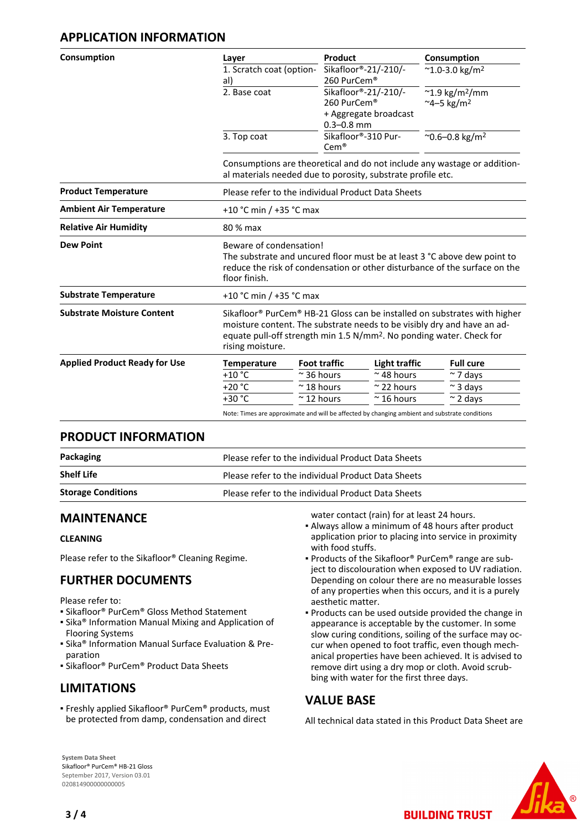# **APPLICATION INFORMATION**

| Consumption                          | Layer                                                                                                                                                                                                                                                                                | Product                                                                                                                                 |                                                             | Consumption                         |  |
|--------------------------------------|--------------------------------------------------------------------------------------------------------------------------------------------------------------------------------------------------------------------------------------------------------------------------------------|-----------------------------------------------------------------------------------------------------------------------------------------|-------------------------------------------------------------|-------------------------------------|--|
|                                      | 1. Scratch coat (option-                                                                                                                                                                                                                                                             | Sikafloor®-21/-210/-                                                                                                                    |                                                             | $^{\sim}$ 1.0-3.0 kg/m <sup>2</sup> |  |
|                                      | al)                                                                                                                                                                                                                                                                                  | 260 PurCem®                                                                                                                             |                                                             |                                     |  |
|                                      | 2. Base coat                                                                                                                                                                                                                                                                         |                                                                                                                                         | Sikafloor®-21/-210/-<br>$^{\sim}$ 1.9 kg/m <sup>2</sup> /mm |                                     |  |
|                                      |                                                                                                                                                                                                                                                                                      | 260 PurCem®                                                                                                                             |                                                             | $~^{\sim}$ 4–5 kg/m <sup>2</sup>    |  |
|                                      |                                                                                                                                                                                                                                                                                      | + Aggregate broadcast<br>$0.3 - 0.8$ mm                                                                                                 |                                                             |                                     |  |
|                                      | 3. Top coat                                                                                                                                                                                                                                                                          | Sikafloor®-310 Pur-<br>$Cem$ <sup>®</sup>                                                                                               |                                                             | $^{\sim}$ 0.6-0.8 kg/m <sup>2</sup> |  |
|                                      |                                                                                                                                                                                                                                                                                      | Consumptions are theoretical and do not include any wastage or addition-<br>al materials needed due to porosity, substrate profile etc. |                                                             |                                     |  |
| <b>Product Temperature</b>           |                                                                                                                                                                                                                                                                                      | Please refer to the individual Product Data Sheets                                                                                      |                                                             |                                     |  |
| <b>Ambient Air Temperature</b>       |                                                                                                                                                                                                                                                                                      | +10 °C min / +35 °C max                                                                                                                 |                                                             |                                     |  |
| <b>Relative Air Humidity</b>         | 80 % max                                                                                                                                                                                                                                                                             |                                                                                                                                         |                                                             |                                     |  |
| <b>Dew Point</b>                     | Beware of condensation!<br>The substrate and uncured floor must be at least 3 °C above dew point to<br>reduce the risk of condensation or other disturbance of the surface on the<br>floor finish.                                                                                   |                                                                                                                                         |                                                             |                                     |  |
| <b>Substrate Temperature</b>         |                                                                                                                                                                                                                                                                                      | +10 °C min / +35 °C max                                                                                                                 |                                                             |                                     |  |
| <b>Substrate Moisture Content</b>    | Sikafloor <sup>®</sup> PurCem <sup>®</sup> HB-21 Gloss can be installed on substrates with higher<br>moisture content. The substrate needs to be visibly dry and have an ad-<br>equate pull-off strength min 1.5 N/mm <sup>2</sup> . No ponding water. Check for<br>rising moisture. |                                                                                                                                         |                                                             |                                     |  |
| <b>Applied Product Ready for Use</b> | <b>Temperature</b>                                                                                                                                                                                                                                                                   | <b>Foot traffic</b>                                                                                                                     | <b>Light traffic</b>                                        | <b>Full cure</b>                    |  |
|                                      | $+10$ °C                                                                                                                                                                                                                                                                             | $\approx$ 36 hours                                                                                                                      | $~\sim$ 48 hours                                            | $\approx$ 7 days                    |  |
|                                      | $+20 °C$                                                                                                                                                                                                                                                                             | $~\sim$ 18 hours                                                                                                                        | $\approx$ 22 hours                                          | $\sim$ 3 days                       |  |
|                                      | $+30 °C$                                                                                                                                                                                                                                                                             | $\approx$ 12 hours                                                                                                                      | $\approx$ 16 hours                                          | $\approx$ 2 days                    |  |
|                                      |                                                                                                                                                                                                                                                                                      | Note: Times are approximate and will be affected by changing ambient and substrate conditions                                           |                                                             |                                     |  |

#### **PRODUCT INFORMATION**

| Packaging                 | Please refer to the individual Product Data Sheets |
|---------------------------|----------------------------------------------------|
| <b>Shelf Life</b>         | Please refer to the individual Product Data Sheets |
| <b>Storage Conditions</b> | Please refer to the individual Product Data Sheets |

#### **MAINTENANCE**

#### **CLEANING**

Please refer to the Sikafloor® Cleaning Regime.

# **FURTHER DOCUMENTS**

Please refer to:

- Sikafloor® PurCem® Gloss Method Statement
- **.** Sika<sup>®</sup> Information Manual Mixing and Application of Flooring Systems
- **E** Sika<sup>®</sup> Information Manual Surface Evaluation & Preparation
- Sikafloor® PurCem® Product Data Sheets

# **LIMITATIONS**

Freshly applied Sikafloor® PurCem® products, must ▪ be protected from damp, condensation and direct

water contact (rain) for at least 24 hours.

- Always allow a minimum of 48 hours after product application prior to placing into service in proximity with food stuffs.
- Products of the Sikafloor® PurCem® range are subject to discolouration when exposed to UV radiation. Depending on colour there are no measurable losses of any properties when this occurs, and it is a purely aesthetic matter.
- **Products can be used outside provided the change in** appearance is acceptable by the customer. In some slow curing conditions, soiling of the surface may occur when opened to foot traffic, even though mechanical properties have been achieved. It is advised to remove dirt using a dry mop or cloth. Avoid scrubbing with water for the first three days.

#### **VALUE BASE**

All technical data stated in this Product Data Sheet are

**BUILDING TRUST** 



**System Data Sheet** Sikafloor® PurCem® HB-21 Gloss September 2017, Version 03.01 020814900000000005